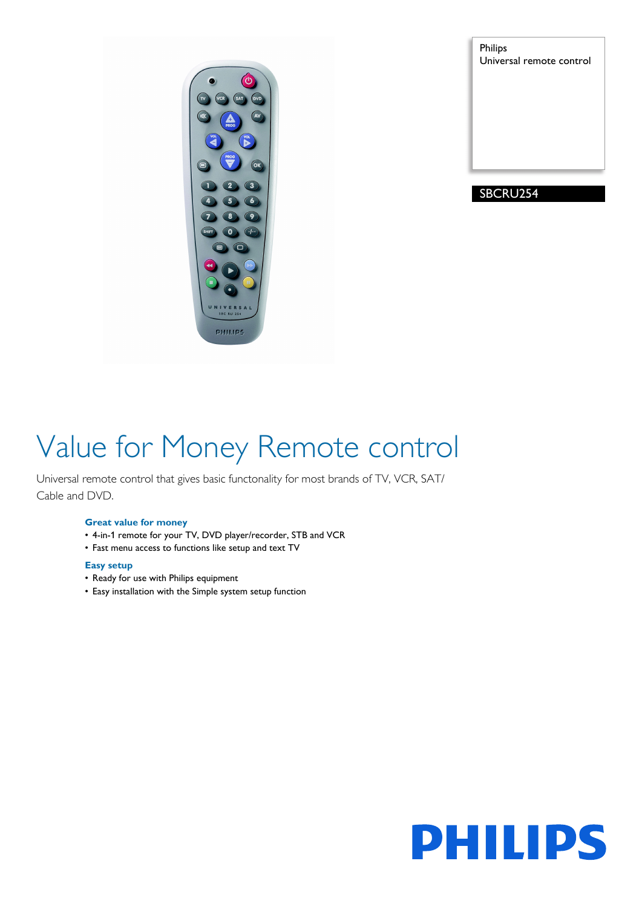PHILIPS

Philips Universal remote control

### SBCRU254

# Value for Money Remote control

Universal remote control that gives basic functonality for most brands of TV, VCR, SAT/ Cable and DVD.

#### **Great value for money**

- 4-in-1 remote for your TV, DVD player/recorder, STB and VCR
- Fast menu access to functions like setup and text TV

#### **Easy setup**

- Ready for use with Philips equipment
- Easy installation with the Simple system setup function